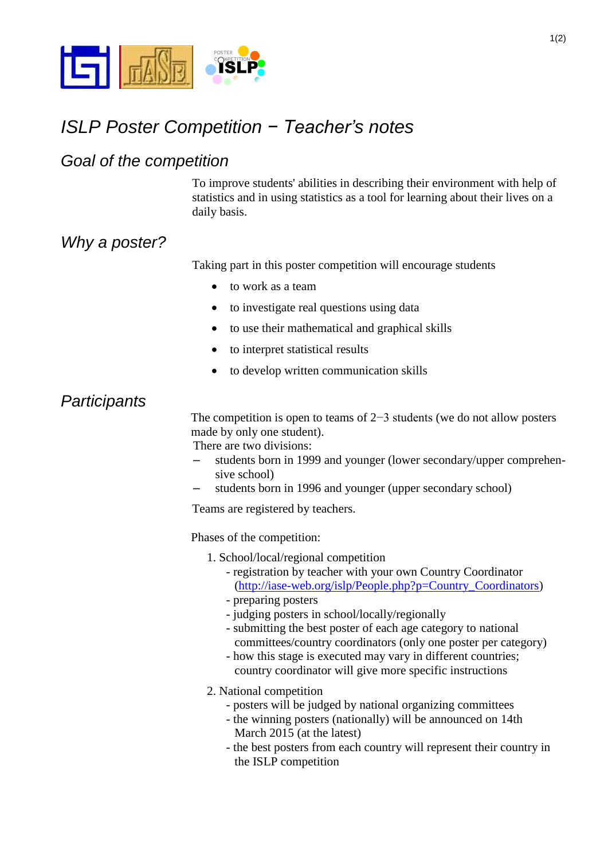

# *ISLP Poster Competition − Teacher's notes*

#### *Goal of the competition*

To improve students' abilities in describing their environment with help of statistics and in using statistics as a tool for learning about their lives on a daily basis.

## *Why a poster?*

Taking part in this poster competition will encourage students

- to work as a team
- to investigate real questions using data
- to use their mathematical and graphical skills
- to interpret statistical results
- to develop written communication skills

#### *Participants*

The competition is open to teams of 2−3 students (we do not allow posters made by only one student).

There are two divisions:

- students born in 1999 and younger (lower secondary/upper comprehensive school)
- students born in 1996 and younger (upper secondary school)

Teams are registered by teachers.

Phases of the competition:

- 1. School/local/regional competition
	- registration by teacher with your own Country Coordinator [\(http://iase-web.org/islp/People.php?p=Country\\_Coordinators\)](http://iase-web.org/islp/People.php?p=Country_Coordinators)
	- preparing posters
	- judging posters in school/locally/regionally
	- submitting the best poster of each age category to national committees/country coordinators (only one poster per category)
	- how this stage is executed may vary in different countries; country coordinator will give more specific instructions

2. National competition

- posters will be judged by national organizing committees
- the winning posters (nationally) will be announced on 14th March 2015 (at the latest)
- the best posters from each country will represent their country in the ISLP competition